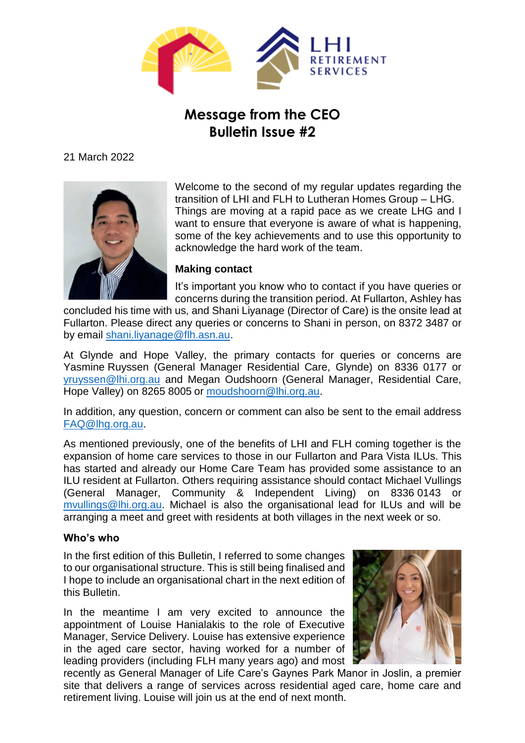

# **Message from the CEO Bulletin Issue #2**

21 March 2022



Welcome to the second of my regular updates regarding the transition of LHI and FLH to Lutheran Homes Group – LHG. Things are moving at a rapid pace as we create LHG and I want to ensure that everyone is aware of what is happening, some of the key achievements and to use this opportunity to acknowledge the hard work of the team.

## **Making contact**

It's important you know who to contact if you have queries or concerns during the transition period. At Fullarton, Ashley has

concluded his time with us, and Shani Liyanage (Director of Care) is the onsite lead at Fullarton. Please direct any queries or concerns to Shani in person, on 8372 3487 or by email [shani.liyanage@flh.asn.au.](mailto:shani.liyanage@flh.asn.au)

At Glynde and Hope Valley, the primary contacts for queries or concerns are Yasmine Ruyssen (General Manager Residential Care, Glynde) on 8336 0177 or [yruyssen@lhi.org.au](mailto:yruyssen@lhi.org.au) and Megan Oudshoorn (General Manager, Residential Care, Hope Valley) on 8265 8005 or [moudshoorn@lhi.org.au.](mailto:moudshoorn@lhi.org.au)

In addition, any question, concern or comment can also be sent to the email address [FAQ@lhg.org.au.](mailto:FAQ@lhg.org.au)

As mentioned previously, one of the benefits of LHI and FLH coming together is the expansion of home care services to those in our Fullarton and Para Vista ILUs. This has started and already our Home Care Team has provided some assistance to an ILU resident at Fullarton. Others requiring assistance should contact Michael Vullings (General Manager, Community & Independent Living) on 8336 0143 or [mvullings@lhi.org.au.](mailto:mvullings@lhi.org.au) Michael is also the organisational lead for ILUs and will be arranging a meet and greet with residents at both villages in the next week or so.

#### **Who's who**

In the first edition of this Bulletin, I referred to some changes to our organisational structure. This is still being finalised and I hope to include an organisational chart in the next edition of this Bulletin.

In the meantime I am very excited to announce the appointment of Louise Hanialakis to the role of Executive Manager, Service Delivery. Louise has extensive experience in the aged care sector, having worked for a number of leading providers (including FLH many years ago) and most



recently as General Manager of Life Care's Gaynes Park Manor in Joslin, a premier site that delivers a range of services across residential aged care, home care and retirement living. Louise will join us at the end of next month.